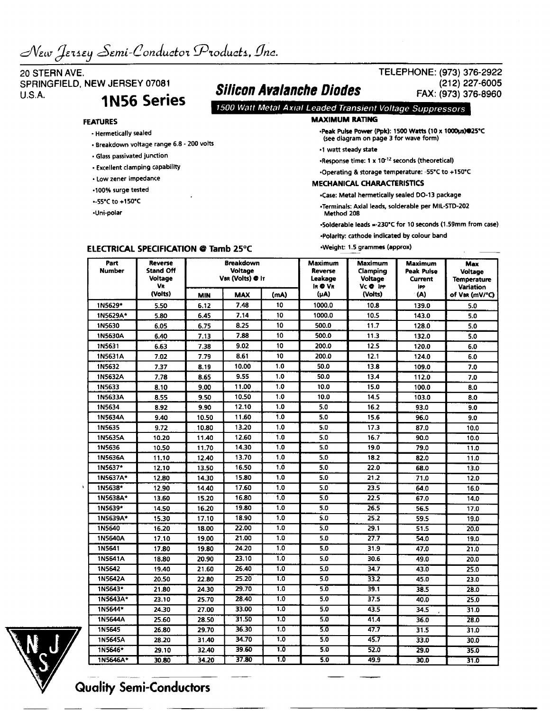# 20 STERN AVE. SPRINGFIELD, NEW JERSEY 07081  $U.S.A.$  1N56 Series

• Breakdown voltage range 6.8 - 200 volts

## **FEATURES**

• Hermetically sealed

• Glass passivated junction • Excellent clamping capability • Low zener impedance •100% surge tested -55'Cto+150"C •Uni-polar

# Silicon Avalanche Diodes

## FAX: (973) 376-8960 7500 Watt Metal Axial Leaded Transient Voltage Suppressors

#### **MAXIMUM RATING**

•Peak Pulse Power (Ppk): 1500 Watts (10 x 1000us)«25'C (see diagram on page 3 for wave form)

TELEPHONE: (973) 376-2922

(212)227-6005

- •1 watt steady state
- •Response time: 1 x 10'12 seconds (theoretical)
- •Operating & storage temperature: -55'C to +150°C

#### MECHANICAL CHARACTERISTICS

•Case: Metal hermetically sealed DO-13 package

•Terminals: Axial leads, solderable per MIL-STD-202 Method 208

•Solderable leads =<230°C for 10 seconds (1.59mm from case)

•Polarity: cathode indicated by colour band

•Weight: 1.5 grammes (approx)

| Part<br><b>Number</b> | Reverse<br><b>Stand Off</b><br><b>Voltage</b><br>VR | <b>Breakdown</b><br>Voltage<br>VBR (Volts) @ It |            |      | Maximum<br>Reverse<br>Leakage<br>IR @ VR | Maximum<br>Clamping<br><b>Voltage</b><br>Vc @ IPP | <b>Maximum</b><br>Peak Pulse<br>Current<br><b>IPP</b> | Max<br>Voltage<br><b>Temperature</b><br><b>Variation</b> |
|-----------------------|-----------------------------------------------------|-------------------------------------------------|------------|------|------------------------------------------|---------------------------------------------------|-------------------------------------------------------|----------------------------------------------------------|
|                       | (Volts)                                             | <b>MIN</b>                                      | <b>MAX</b> | (mA) | (µA)                                     | (Volts)                                           | (A)                                                   | of Var (mV/°C)                                           |
| 1N5629*               | 5.50                                                | 6.12                                            | 7.48       | 10   | 1000.0                                   | 10.8                                              | 139.0                                                 | 5.0                                                      |
| 1N5629A*              | 5.80                                                | 6.45                                            | 7.14       | 10   | 1000.0                                   | 10.5                                              | 143.0                                                 | 5.0                                                      |
| 1N5630                | 6.05                                                | 6.75                                            | 8.25       | 10   | 500.0                                    | 11.7                                              | 128.0                                                 | 5.0                                                      |
| 1N5630A               | 6.40                                                | 7.13                                            | 7.88       | 10   | 500.0                                    | 11.3                                              | 132.0                                                 | 5.0                                                      |
| 1N5631                | 6.63                                                | 7.38                                            | 9.02       | 10   | 200.0                                    | 12.5                                              | 120.0                                                 | 6.0                                                      |
| 1N5631A               | 7.02                                                | 7.79                                            | 8.61       | 10   | 200.0                                    | 12.1                                              | 124.0                                                 | 6.0                                                      |
| 1N5632                | 7.37                                                | 8.19                                            | 10.00      | 1.0  | 50.0                                     | 13.8                                              | 109.0                                                 | 7.0                                                      |
| 1N5632A               | 7.78                                                | 8.65                                            | 9.55       | 1.0  | 50.0                                     | 13.4                                              | 112.0                                                 | 7.0                                                      |
| 1N5633                | 8.10                                                | 9.00                                            | 11.00      | 1.0  | 10.0                                     | 15.0                                              | 100.0                                                 | 8.0                                                      |
| 1N5633A               | 8.55                                                | 9.50                                            | 10.50      | 1.0  | 10.0                                     | 14.5                                              | 103.0                                                 | 8.0                                                      |
| 1N5634                | 8.92                                                | 9.90                                            | 12.10      | 1.0  | 5.0                                      | 16.2                                              | 93.0                                                  | 9.0                                                      |
| 1N5634A               | 9.40                                                | 10.50                                           | 11.60      | 1.0  | 5.0                                      | 15.6                                              | 96.0                                                  | 9.0                                                      |
| 1N5635                | 9.72                                                | 10.80                                           | 13.20      | 1.0  | 5.0                                      | 17.3                                              | 87.0                                                  | 10.0                                                     |
| 1N5635A               | 10.20                                               | 11.40                                           | 12.60      | 1.0  | 5.0                                      | 16.7                                              | 90.0                                                  | 10.0                                                     |
| 1N5636                | 10.50                                               | 11.70                                           | 14.30      | 1.0  | 5.0                                      | 19.0                                              | 79.0                                                  | 11.0                                                     |
| 1N5636A               | 11.10                                               | 12.40                                           | 13.70      | 1.0  | 5.0                                      | 18.2                                              | 82.0                                                  | 11.0                                                     |
| 1N5637*               | 12.10                                               | 13.50                                           | 16.50      | 1.0  | 5.0                                      | 22.0                                              | 68.0                                                  | 13.0                                                     |
| 1N5637A*              | 12.80                                               | 14.30                                           | 15.80      | 1.0  | 5.0                                      | 21.2                                              | 71.0                                                  | 12.0                                                     |
| 1N5638*               | 12.90                                               | 14.40                                           | 17.60      | 1.0  | 5.0                                      | 23.5                                              | 64.0                                                  | 16.0                                                     |
| 1N5638A*              | 13.60                                               | 15.20                                           | 16.80      | 1.0  | 5.0                                      | 22.5                                              | 67.0                                                  | 14.0                                                     |
| 1N5639*               | 14.50                                               | 16.20                                           | 19.80      | 1.0  | 5.0                                      | 26.5                                              | 56.5                                                  | 17.0                                                     |
| 1N5639A*              | 15.30                                               | 17.10                                           | 18.90      | 1.0  | 5.0                                      | 25.2                                              | 59.5                                                  | 19.0                                                     |
| 1N5640                | 16.20                                               | 18.00                                           | 22.00      | 1.0  | 5.0                                      | 29.1                                              | 51.5                                                  | 20.0                                                     |
| 1N5640A               | 17.10                                               | 19.00                                           | 21.00      | 1.0  | 5.0                                      | 27.7                                              | 54.0                                                  | 19.0                                                     |
| 1N5641                | 17.80                                               | 19.80                                           | 24.20      | 1.0  | 5.0                                      | 31.9                                              | 47.0                                                  | 21.0                                                     |
| 1N5641A               | 18.80                                               | 20.90                                           | 23.10      | 1.0  | 5.0                                      | 30.6                                              | 49.0                                                  | 20.0                                                     |
| 1N5642                | 19.40                                               | 21.60                                           | 26.40      | 1.0  | 5.0                                      | 34.7                                              | 43.0                                                  | 25.0                                                     |
| 1N5642A               | 20.50                                               | 22.80                                           | 25.20      | 1.0  | 5.0                                      | 33.2                                              | 45.0                                                  | 23.0                                                     |
| 1N5643*               | 21.80                                               | 24.30                                           | 29.70      | 1.0  | 5.0                                      | 39.1                                              | 38.5                                                  | 28.0                                                     |
| 1N5643A*              | 23.10                                               | 25.70                                           | 28.40      | 1.0  | 5.0                                      | 37.5                                              | 40.0                                                  | 25.0                                                     |
| 1N5644*               | 24.30                                               | 27.00                                           | 33.00      | 1.0  | 5.0                                      | 43.5                                              | 34.5                                                  | 31.0                                                     |
| 1N5644A               | 25.60                                               | 28.50                                           | 31.50      | 1.0  | 5.0                                      | 41.4                                              | 36.0                                                  | 28.0                                                     |
| 1N5645                | 26.80                                               | 29.70                                           | 36.30      | 1.0  | 5.0                                      | 47.7                                              | 31.5                                                  | 31.0                                                     |
| 1N5645A               | 28.20                                               | 31.40                                           | 34.70      | 1.0  | 5.0                                      | 45.7                                              | 33.0                                                  | 30.0                                                     |
| 1N5646*               | 29.10                                               | 32.40                                           | 39.60      | 1.0  | 5.0                                      | 52.0                                              | 29.0                                                  | 35.0                                                     |
| 1N5646A*              | 30.80                                               | 34.20                                           | 37.80      | 1.0  | 5.0                                      | 49.9                                              | 30.0                                                  | 31.0                                                     |



# Quality Semi-Conductors

### **ELECTRICAL SPECIFICATION © Tamb 25°C**